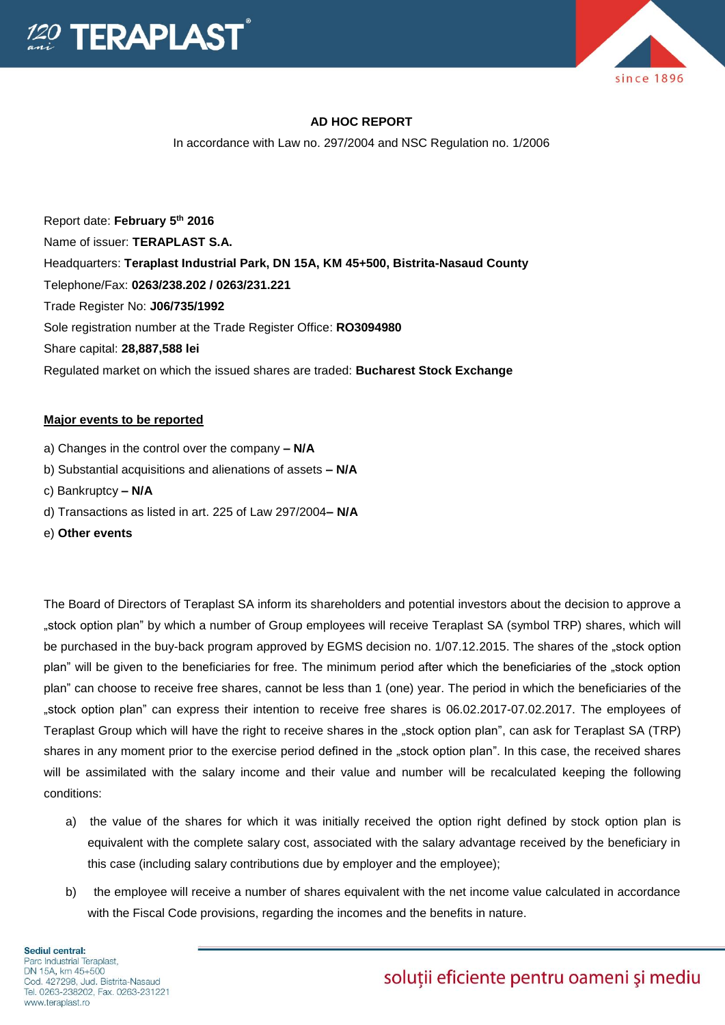



### **AD HOC REPORT**

In accordance with Law no. 297/2004 and NSC Regulation no. 1/2006

Report date: **February 5th 2016** Name of issuer: **TERAPLAST S.A.**  Headquarters: **Teraplast Industrial Park, DN 15A, KM 45+500, Bistrita-Nasaud County** Telephone/Fax: **0263/238.202 / 0263/231.221** Trade Register No: **J06/735/1992** Sole registration number at the Trade Register Office: **RO3094980** Share capital: **28,887,588 lei** Regulated market on which the issued shares are traded: **Bucharest Stock Exchange**

#### **Major events to be reported**

- a) Changes in the control over the company **– N/A**
- b) Substantial acquisitions and alienations of assets **– N/A**
- c) Bankruptcy **– N/A**
- d) Transactions as listed in art. 225 of Law 297/2004**– N/A**
- e) **Other events**

The Board of Directors of Teraplast SA inform its shareholders and potential investors about the decision to approve a "stock option plan" by which a number of Group employees will receive Teraplast SA (symbol TRP) shares, which will be purchased in the buy-back program approved by EGMS decision no. 1/07.12.2015. The shares of the "stock option plan" will be given to the beneficiaries for free. The minimum period after which the beneficiaries of the "stock option plan" can choose to receive free shares, cannot be less than 1 (one) year. The period in which the beneficiaries of the "stock option plan" can express their intention to receive free shares is 06.02.2017-07.02.2017. The employees of Teraplast Group which will have the right to receive shares in the "stock option plan", can ask for Teraplast SA (TRP) shares in any moment prior to the exercise period defined in the "stock option plan". In this case, the received shares will be assimilated with the salary income and their value and number will be recalculated keeping the following conditions:

- a) the value of the shares for which it was initially received the option right defined by stock option plan is equivalent with the complete salary cost, associated with the salary advantage received by the beneficiary in this case (including salary contributions due by employer and the employee);
- b) the employee will receive a number of shares equivalent with the net income value calculated in accordance with the Fiscal Code provisions, regarding the incomes and the benefits in nature.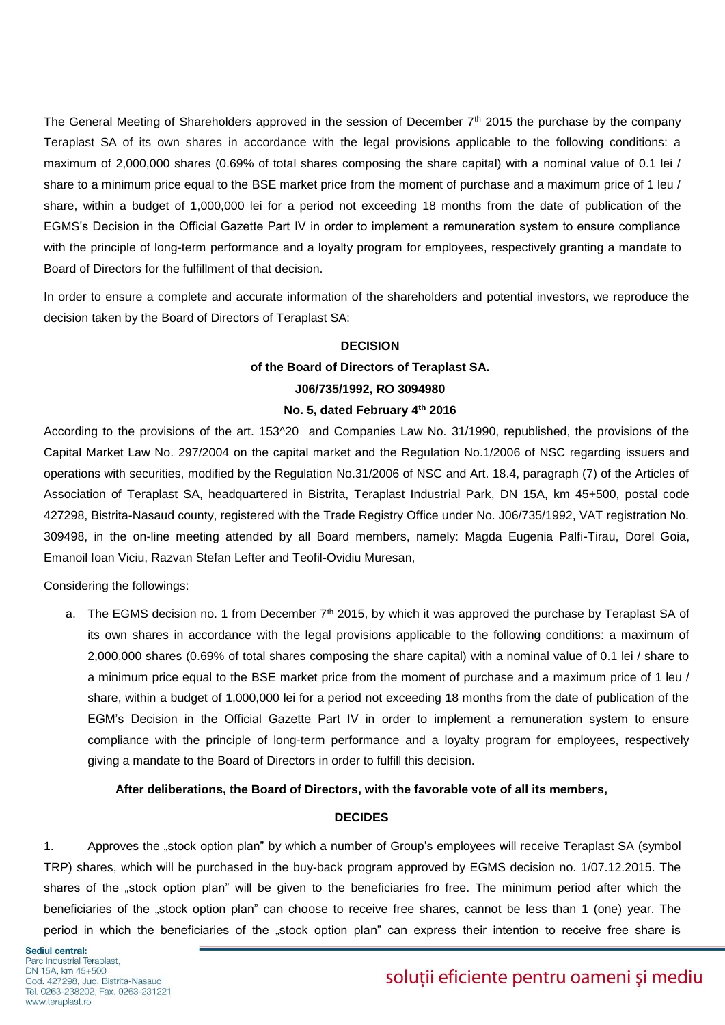The General Meeting of Shareholders approved in the session of December  $7<sup>th</sup>$  2015 the purchase by the company Teraplast SA of its own shares in accordance with the legal provisions applicable to the following conditions: a maximum of 2,000,000 shares (0.69% of total shares composing the share capital) with a nominal value of 0.1 lei / share to a minimum price equal to the BSE market price from the moment of purchase and a maximum price of 1 leu / share, within a budget of 1,000,000 lei for a period not exceeding 18 months from the date of publication of the EGMS's Decision in the Official Gazette Part IV in order to implement a remuneration system to ensure compliance with the principle of long-term performance and a loyalty program for employees, respectively granting a mandate to Board of Directors for the fulfillment of that decision.

In order to ensure a complete and accurate information of the shareholders and potential investors, we reproduce the decision taken by the Board of Directors of Teraplast SA:

## **DECISION**

# **of the Board of Directors of Teraplast SA. J06/735/1992, RO 3094980**

### **No. 5, dated February 4th 2016**

According to the provisions of the art. 153^20 and Companies Law No. 31/1990, republished, the provisions of the Capital Market Law No. 297/2004 on the capital market and the Regulation No.1/2006 of NSC regarding issuers and operations with securities, modified by the Regulation No.31/2006 of NSC and Art. 18.4, paragraph (7) of the Articles of Association of Teraplast SA, headquartered in Bistrita, Teraplast Industrial Park, DN 15A, km 45+500, postal code 427298, Bistrita-Nasaud county, registered with the Trade Registry Office under No. J06/735/1992, VAT registration No. 309498, in the on-line meeting attended by all Board members, namely: Magda Eugenia Palfi-Tirau, Dorel Goia, Emanoil Ioan Viciu, Razvan Stefan Lefter and Teofil-Ovidiu Muresan,

Considering the followings:

a. The EGMS decision no. 1 from December 7<sup>th</sup> 2015, by which it was approved the purchase by Teraplast SA of its own shares in accordance with the legal provisions applicable to the following conditions: a maximum of 2,000,000 shares (0.69% of total shares composing the share capital) with a nominal value of 0.1 lei / share to a minimum price equal to the BSE market price from the moment of purchase and a maximum price of 1 leu / share, within a budget of 1,000,000 lei for a period not exceeding 18 months from the date of publication of the EGM's Decision in the Official Gazette Part IV in order to implement a remuneration system to ensure compliance with the principle of long-term performance and a loyalty program for employees, respectively giving a mandate to the Board of Directors in order to fulfill this decision.

#### **After deliberations, the Board of Directors, with the favorable vote of all its members,**

#### **DECIDES**

1. Approves the "stock option plan" by which a number of Group's employees will receive Teraplast SA (symbol TRP) shares, which will be purchased in the buy-back program approved by EGMS decision no. 1/07.12.2015. The shares of the "stock option plan" will be given to the beneficiaries fro free. The minimum period after which the beneficiaries of the "stock option plan" can choose to receive free shares, cannot be less than 1 (one) year. The period in which the beneficiaries of the "stock option plan" can express their intention to receive free share is

# soluții eficiente pentru oameni și mediu